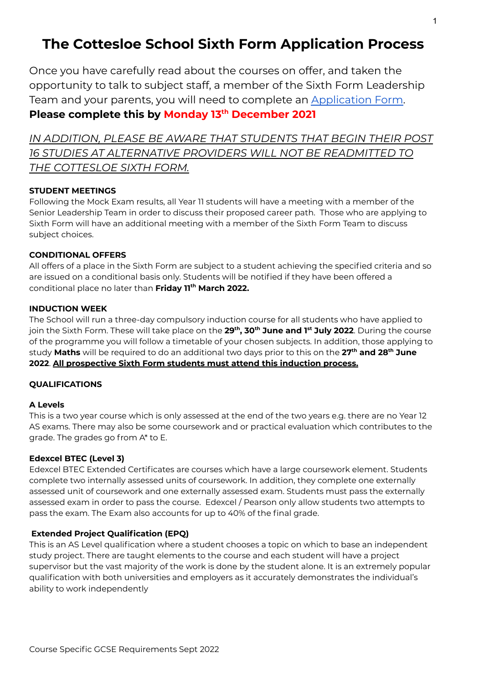### **The Cottesloe School Sixth Form Application Process**

Once you have carefully read about the courses on offer, and taken the opportunity to talk to subject staff, a member of the Sixth Form Leadership Team and your parents, you will need to complete an [Application](https://forms.gle/1utiXVncjJhThpS89) Form. **Please complete this by Monday 13 th December 2021**

*IN ADDITION, PLEASE BE AWARE THAT STUDENTS THAT BEGIN THEIR POST 16 STUDIES AT ALTERNATIVE PROVIDERS WILL NOT BE READMITTED TO THE COTTESLOE SIXTH FORM.*

#### **STUDENT MEETINGS**

Following the Mock Exam results, all Year 11 students will have a meeting with a member of the Senior Leadership Team in order to discuss their proposed career path. Those who are applying to Sixth Form will have an additional meeting with a member of the Sixth Form Team to discuss subject choices.

#### **CONDITIONAL OFFERS**

All offers of a place in the Sixth Form are subject to a student achieving the specified criteria and so are issued on a conditional basis only. Students will be notified if they have been offered a conditional place no later than **Friday 11 th March 2022.**

#### **INDUCTION WEEK**

The School will run a three-day compulsory induction course for all students who have applied to join the Sixth Form. These will take place on the **29 th , 30 th June and 1 st July 2022**. During the course of the programme you will follow a timetable of your chosen subjects. In addition, those applying to study **Maths** will be required to do an additional two days prior to this on the **27 th and 28 th June 2022**. **All prospective Sixth Form students must attend this induction process.**

#### **QUALIFICATIONS**

#### **A Levels**

This is a two year course which is only assessed at the end of the two years e.g. there are no Year 12 AS exams. There may also be some coursework and or practical evaluation which contributes to the grade. The grades go from A\* to E.

#### **Edexcel BTEC (Level 3)**

Edexcel BTEC Extended Certificates are courses which have a large coursework element. Students complete two internally assessed units of coursework. In addition, they complete one externally assessed unit of coursework and one externally assessed exam. Students must pass the externally assessed exam in order to pass the course. Edexcel / Pearson only allow students two attempts to pass the exam. The Exam also accounts for up to 40% of the final grade.

#### **Extended Project Qualification (EPQ)**

This is an AS Level qualification where a student chooses a topic on which to base an independent study project. There are taught elements to the course and each student will have a project supervisor but the vast majority of the work is done by the student alone. It is an extremely popular qualification with both universities and employers as it accurately demonstrates the individual's ability to work independently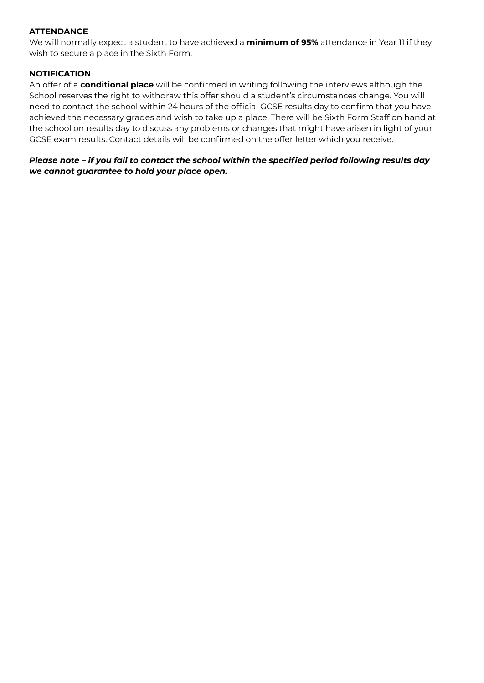#### **ATTENDANCE**

We will normally expect a student to have achieved a **minimum of 95%** attendance in Year 11 if they wish to secure a place in the Sixth Form.

#### **NOTIFICATION**

An offer of a **conditional place** will be confirmed in writing following the interviews although the School reserves the right to withdraw this offer should a student's circumstances change. You will need to contact the school within 24 hours of the official GCSE results day to confirm that you have achieved the necessary grades and wish to take up a place. There will be Sixth Form Staff on hand at the school on results day to discuss any problems or changes that might have arisen in light of your GCSE exam results. Contact details will be confirmed on the offer letter which you receive.

*Please note – if you fail to contact the school within the specified period following results day we cannot guarantee to hold your place open.*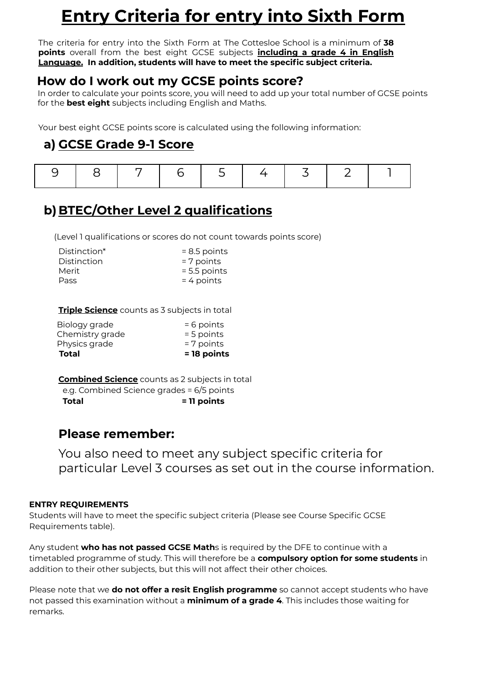# **Entry Criteria for entry into Sixth Form**

The criteria for entry into the Sixth Form at The Cottesloe School is a minimum of **38 points** overall from the best eight GCSE subjects **including a grade 4 in English Language. In addition, students will have to meet the specific subject criteria.**

### **How do I work out my GCSE points score?**

In order to calculate your points score, you will need to add up your total number of GCSE points for the **best eight** subjects including English and Maths.

Your best eight GCSE points score is calculated using the following information:

### **a) GCSE Grade 9-1 Score**

|--|--|--|--|--|--|--|--|--|

### **b)BTEC/Other Level 2 qualifications**

(Level 1 qualifications or scores do not count towards points score)

| Distinction* | $= 8.5$ points |
|--------------|----------------|
| Distinction  | $= 7$ points   |
| Merit        | $= 5.5$ points |
| Pass         | $= 4$ points   |

#### **Triple Science** counts as 3 subjects in total

| Total           | = 18 points  |
|-----------------|--------------|
| Physics grade   | $= 7$ points |
| Chemistry grade | $= 5$ points |
| Biology grade   | $= 6$ points |
|                 |              |

**Combined Science** counts as 2 subjects in total e.g. Combined Science grades = 6/5 points **Total = 11 points**

### **Please remember:**

You also need to meet any subject specific criteria for particular Level 3 courses as set out in the course information.

#### **ENTRY REQUIREMENTS**

Students will have to meet the specific subject criteria (Please see Course Specific GCSE Requirements table).

Any student **who has not passed GCSE Math**s is required by the DFE to continue with a timetabled programme of study. This will therefore be a **compulsory option for some students** in addition to their other subjects, but this will not affect their other choices.

Please note that we **do not offer a resit English programme** so cannot accept students who have not passed this examination without a **minimum of a grade 4**. This includes those waiting for remarks.